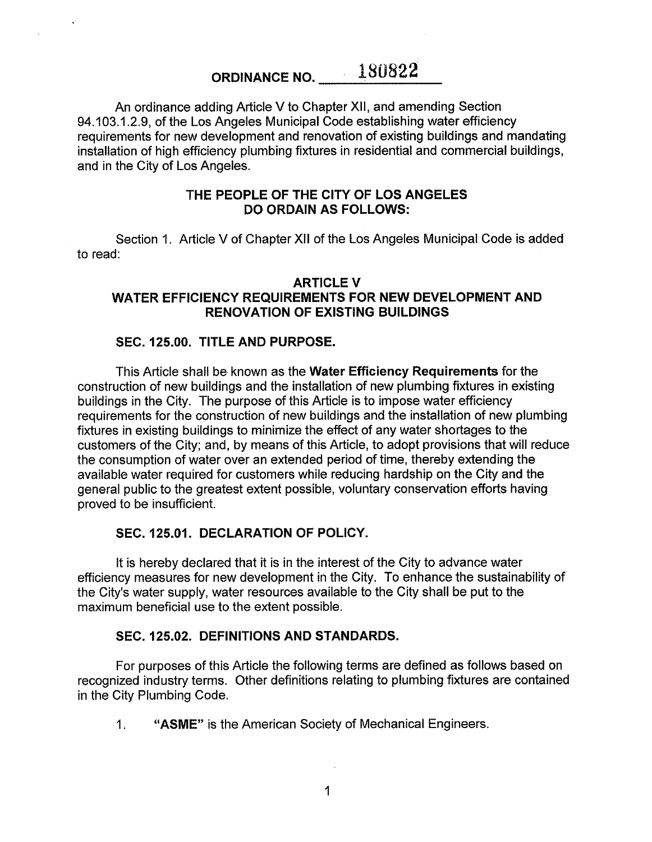# ORDINANCE NO. **\_\_\_\_** 180822

An ordinance adding Article V to Chapter **XII,** and amending Section 94.103.1.2.9, of the Los Angeles Municipal Code establishing water efficiency requirements for new development and renovation of existing buildings and mandating installation of high efficiency plumbing fixtures in residential and commercial buildings, and in the City of Los Angeles.

## **THE PEOPLE OF THE CITY OF LOS ANGELES DO ORDAIN AS FOLLOWS:**

Section 1. Article V of Chapter XII of the Los Angeles Municipal Code is added to read:

# **ARTICLEV WATER EFFICIENCY REQUIREMENTS FOR NEW DEVELOPMENT AND RENOVATION OF EXISTING BUILDINGS**

# **SEC. 125.00. TITLE AND PURPOSE.**

This Article shall be known as the **Water Efficiency Requirements** for the construction of new buildings and the installation of new plumbing fixtures in existing buildings in the City. The purpose of this Article is to impose water efficiency requirements for the construction of new buildings and the installation of new plumbing fixtures in existing buildings to minimize the effect of any water shortages to the customers of the City; and, by means of this Article, to adopt provisions that will reduce the consumption of water over an extended period of time, thereby extending the available water required for customers while reducing hardship on the City and the general public to the greatest extent possible, voluntary conservation efforts having proved to be insufficient.

# **SEC. 125.01. DECLARATION OF POLICY.**

It is hereby declared that it is in the interest of the City to advance water efficiency measures for new development in the City. To enhance the sustainability of the City's water supply, water resources available to the City shall be put to the maximum beneficial use to the extent possible.

## **SEC. 125.02. DEFINITIONS AND STANDARDS.**

For purposes of this Article the following terms are defined as follows based on recognized industry terms. Other definitions relating to plumbing fixtures are contained in the City Plumbing Code.

1. **"ASME"** is the American Society of Mechanical Engineers.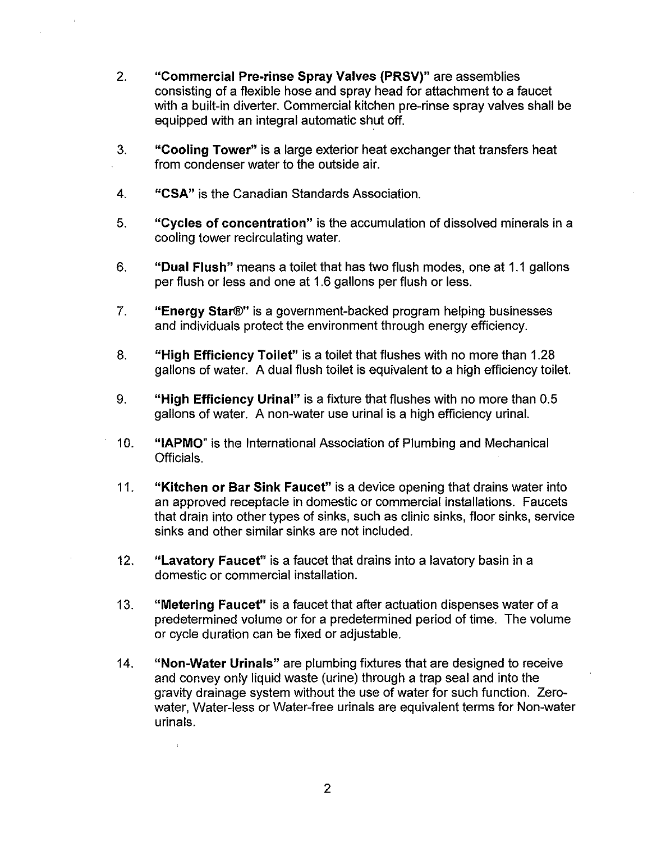- 2. **"Commercial Pre-rinse Spray Valves (PRSV)"** are assemblies consisting of a flexible hose and spray head for attachment to a faucet with a built-in diverter. Commercial kitchen pre-rinse spray valves shall be equipped with an integral automatic shut off.
- 3. **"Cooling Tower"** is a large exterior heat exchanger that transfers heat from condenser water to the outside air.
- **4. "CSA"** is the Canadian Standards Association.
- 5. **"Cycles of concentration"** is the accumulation of dissolved minerals in a cooling tower recirculating water.
- 6. **"Dual Flush"** means a toilet that has two flush modes, one at 1.1 gallons per flush or less and one at 1.6 gallons per flush or less.
- 7. **"Energy Star®"** is a government-backed program helping businesses and individuals protect the environment through energy efficiency.
- 8. **"High Efficiency Toilet"** is a toilet that flushes with no more than 1.28 gallons of water. A dual flush toilet is equivalent to a high efficiency toilet.
- 9. **"High Efficiency Urinal"** is a fixture that flushes with no more than 0.5 gallons of water. A non-water use urinal is a high efficiency urinal.
- 10. **"IAPMO"** is the International Association of Plumbing and Mechanical Officials.
- 11. **"Kitchen or Bar Sink Faucet"** is a device opening that drains water into an approved receptacle in domestic or commercial installations. Faucets that drain into other types of sinks, such as clinic sinks, floor sinks, service sinks and other similar sinks are not included.
- 12. **"Lavatory Faucet"** is a faucet that drains into a lavatory basin in a domestic or commercial installation.
- 13. **"Metering Faucet"** is a faucet that after actuation dispenses water of a predetermined volume or for a predetermined period of time. The volume or cycle duration can be fixed or adjustable.
- 14. **"Non-Water Urinals"** are plumbing fixtures that are designed to receive and convey only liquid waste (urine) through a trap seal and into the gravity drainage system without the use of water for such function. Zerowater, Water-less or Water-free urinals are equivalent terms for Non-water urinals.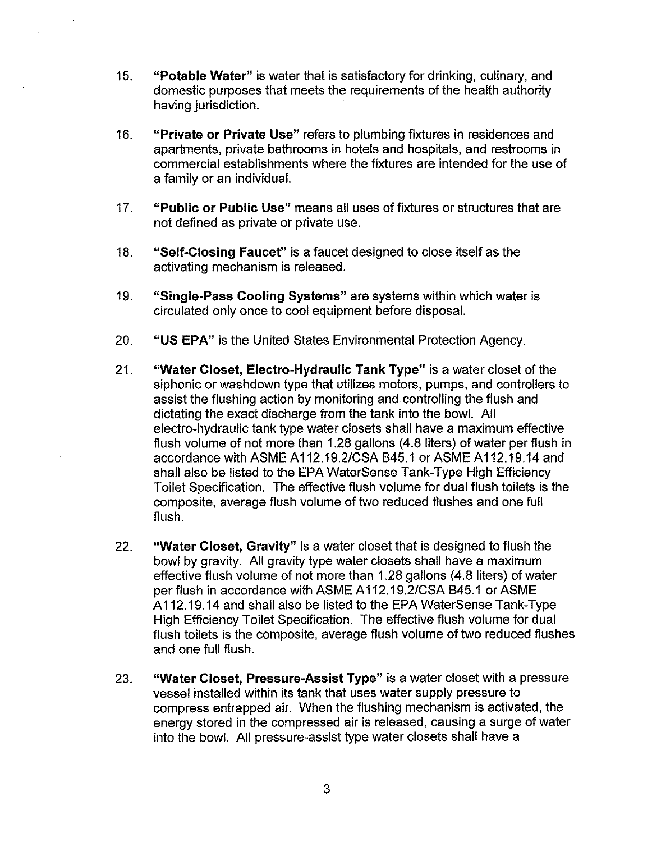- 15. **"Potable Water"** is water that is satisfactory for drinking, culinary, and domestic purposes that meets the requirements of the health authority having jurisdiction.
- 16. **"Private or Private Use"** refers to plumbing fixtures in residences and apartments, private bathrooms in hotels and hospitals, and restrooms in commercial establishments where the fixtures are intended for the use of a family or an individual.
- 17. **"Public or Public Use"** means all uses of fixtures or structures that are not defined as private or private use.
- 18. **"Self-Closing Faucet"** is a faucet designed to close itself as the activating mechanism is released.
- 19. **"Single-Pass Cooling Systems"** are systems within which water is circulated only once to cool equipment before disposal.
- 20. **"US EPA"** is the United States Environmental Protection Agency.
- 21. **"Water Closet, Electro-Hydraulic Tank Type"** is a water closet of the siphonic or washdown type that utilizes motors, pumps, and controllers to assist the flushing action by monitoring and controlling the flush and dictating the exact discharge from the tank into the bowl. All electro-hydraulic tank type water closets shall have a maximum effective flush volume of not more than 1.28 gallons (4.8 liters) of water per flush in accordance with ASME A112.19.2/CSA B45.1 or ASME A112.19.14 and shall also be listed to the EPA WaterSense Tank-Type High Efficiency Toilet Specification. The effective flush volume for dual flush toilets is the composite, average flush volume of two reduced flushes and one full flush.
- 22. **"Water Closet, Gravity"** is a water closet that is designed to flush the bowl by gravity. All gravity type water closets shall have a maximum effective flush volume of not more than 1.28 gallons (4.8 liters) of water per flush in accordance with ASME A112.19.2/CSA B45.1 or ASME A112.19.14 and shall also be listed to the EPA WaterSense Tank-Type High Efficiency Toilet Specification. The effective flush volume for dual flush toilets is the composite, average flush volume of two reduced flushes and one full flush.
- 23. **"Water Closet, Pressure-Assist Type"** is a water closet with a pressure vessel installed within its tank that uses water supply pressure to compress entrapped air. When the flushing mechanism is activated, the energy stored in the compressed air is released, causing a surge of water into the bowl. All pressure-assist type water closets shall have a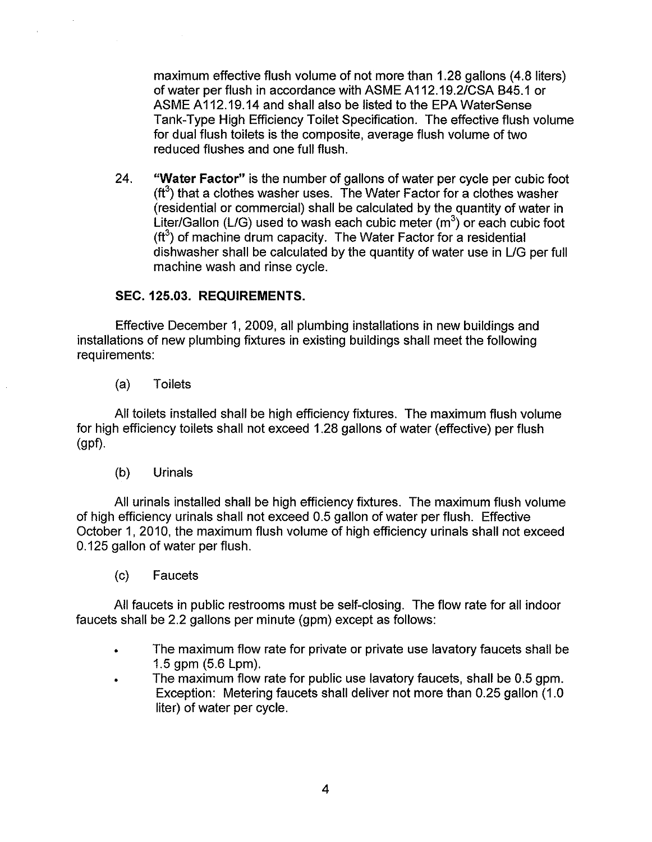maximum effective flush volume of not more than 1.28 gallons (4.8 liters) of water per flush in accordance with ASME A 112.19.2/CSA B45.1 or ASME A112.19.14 and shall also be listed to the EPA WaterSense Tank-Type High Efficiency Toilet Specification. The effective flush volume for dual flush toilets is the composite, average flush volume of two reduced flushes and one full flush.

24. **"Water Factor"** is the number of gallons of water per cycle per cubic foot ( $\text{ft}^3$ ) that a clothes washer uses. The Water Factor for a clothes washer (residential or commercial) shall be calculated by the quantity of water in Liter/Gallon (L/G) used to wash each cubic meter  $(m^3)$  or each cubic foot  $(t<sup>3</sup>)$  of machine drum capacity. The Water Factor for a residential dishwasher shall be calculated by the quantity of water use in L/G per full machine wash and rinse cycle.

# **SEC. 125.03. REQUIREMENTS.**

Effective December 1, 2009, all plumbing installations in new buildings and installations of new plumbing fixtures in existing buildings shall meet the following requirements:

(a) Toilets

All toilets installed shall be high efficiency fixtures. The maximum flush volume for high efficiency toilets shall not exceed 1.28 gallons of water (effective) per flush (gpf).

(b) Urinals

All urinals installed shall be high efficiency fixtures. The maximum flush volume of high efficiency urinals shall not exceed 0.5 gallon of water per flush. Effective October 1, 2010, the maximum flush volume of high efficiency urinals shall not exceed 0.125 gallon of water per flush.

(c) Faucets

All faucets in public restrooms must be self-closing. The flow rate for all indoor faucets shall be 2.2 gallons per minute (gpm) except as follows:

- The maximum flow rate for private or private use lavatory faucets shall be 1.5 gpm (5.6 Lpm).
- The maximum flow rate for public use lavatory faucets, shall be 0.5 gpm. Exception: Metering faucets shall deliver not more than 0.25 gallon (1.0) liter) of water per cycle.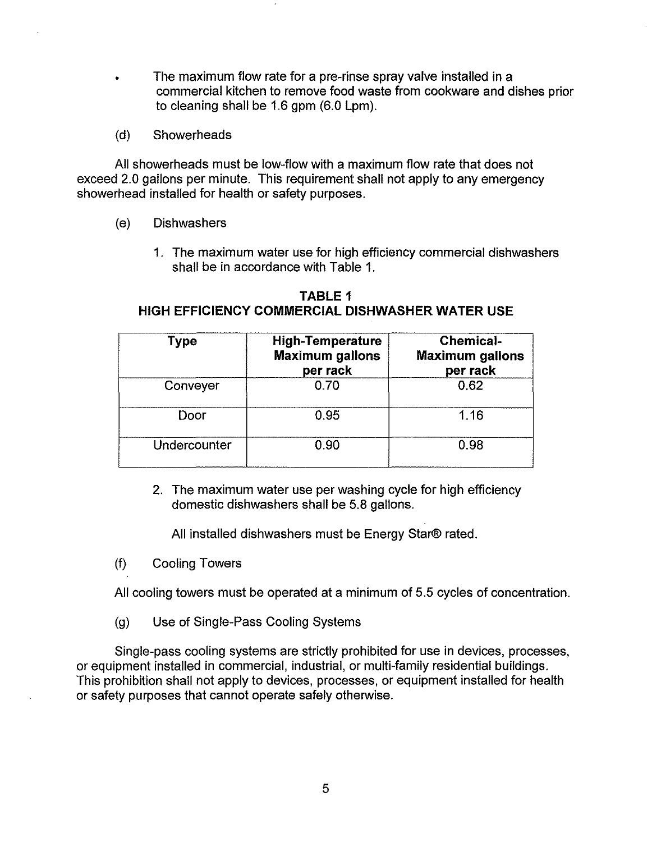- The maximum flow rate for a pre-rinse spray valve installed in a commercial kitchen to remove food waste from cookware and dishes prior to cleaning shall be 1.6 gpm (6.0 Lpm).
- (d) Showerheads

All showerheads must be low-flow with a maximum flow rate that does not exceed 2.0 gallons per minute. This requirement shall not apply to any emergency showerhead installed for health or safety purposes.

- (e) Dishwashers
	- 1. The maximum water use for high efficiency commercial dishwashers shall be in accordance with Table 1.

| Type         | <b>High-Temperature</b><br><b>Maximum gallons</b><br>per rack | <b>Chemical-</b><br><b>Maximum gallons</b><br>per rack |
|--------------|---------------------------------------------------------------|--------------------------------------------------------|
| Conveyer     | 0.70                                                          | 0.62                                                   |
| Door         | 0.95                                                          | 1.16                                                   |
| Undercounter | 0.90                                                          | 0.98                                                   |

**TABLE 1 HIGH EFFICIENCY COMMERCIAL DISHWASHER WATER USE** 

2. The maximum water use per washing cycle for high efficiency domestic dishwashers shall be 5.8 gallons.

All installed dishwashers must be Energy Star® rated.

(f) Cooling Towers

All cooling towers must be operated at a minimum of 5.5 cycles of concentration.

(g) Use of Single-Pass Cooling Systems

Single-pass cooling systems are strictly prohibited for use in devices, processes, or equipment installed in commercial, industrial, or multi-family residential buildings. This prohibition shall not apply to devices, processes, or equipment installed for health or safety purposes that cannot operate safely otherwise.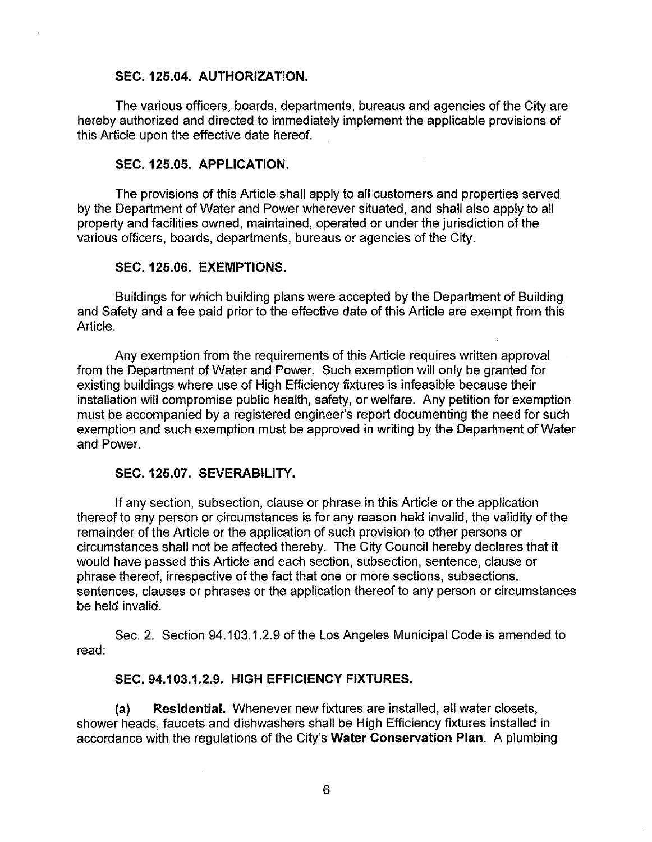#### **SEC. 125.04. AUTHORIZATION.**

The various officers, boards, departments, bureaus and agencies of the City are hereby authorized and directed to immediately implement the applicable provisions of this Article upon the effective date hereof.

#### **SEC. 125.05. APPLICATION.**

The provisions of this Article shall apply to all customers and properties served by the Department of Water and Power wherever situated, and shall also apply to all property and facilities owned, maintained, operated or under the jurisdiction of the various officers, boards, departments, bureaus or agencies of the City.

#### **SEC. 125.06. EXEMPTIONS.**

Buildings for which building plans were accepted by the Department of Building and Safety and a fee paid prior to the effective date of this Article are exempt from this Article.

Any exemption from the requirements of this Article requires written approval from the Department of Water and Power. Such exemption will only be granted for existing buildings where use of High Efficiency fixtures is infeasible because their installation will compromise public health, safety, or welfare. Any petition for exemption must be accompanied by a registered engineer's report documenting the need for such exemption and such exemption must be approved in writing by the Department of Water and Power.

#### **SEC. 125.07. SEVERABILITY.**

If any section, subsection, clause or phrase in this Article or the application thereof to any person or circumstances is for any reason held invalid, the validity of the remainder of the Article or the application of such provision to other persons or circumstances shall not be affected thereby. The City Council hereby declares that it would have passed this Article and each section, subsection, sentence, clause or phrase thereof, irrespective of the fact that one or more sections, subsections, sentences, clauses or phrases or the application thereof to any person or circumstances be held invalid.

Sec. 2. Section 94.103.1.2.9 of the Los Angeles Municipal Code is amended to read:

## **SEC. 94.103.1.2.9. HIGH EFFICIENCY FIXTURES.**

**(a) Residential.** Whenever new fixtures are installed, all water closets, shower heads, faucets and dishwashers shall be High Efficiency fixtures installed in accordance with the regulations of the City's **Water Conservation Plan.** A plumbing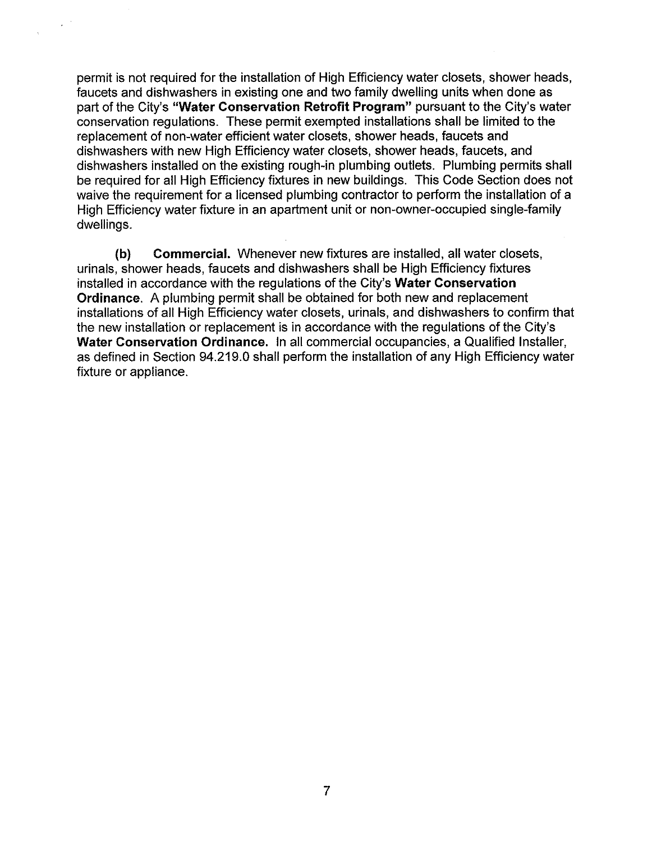permit is not required for the installation of High Efficiency water closets, shower heads, faucets and dishwashers in existing one and two family dwelling units when done as part of the City's **"Water Conservation Retrofit Program"** pursuant to the City's water conservation regulations. These permit exempted installations shall be limited to the replacement of non-water efficient water closets, shower heads, faucets and dishwashers with new High Efficiency water closets, shower heads, faucets, and dishwashers installed on the existing rough-in plumbing outlets. Plumbing permits shall be required for all High Efficiency fixtures in new buildings. This Code Section does not waive the requirement for a licensed plumbing contractor to perform the installation of a High Efficiency water fixture in an apartment unit or non-owner-occupied single-family dwellings.

 $\chi$  ,  $\chi$ 

 $\chi$ 

**(b) Commercial.** Whenever new fixtures are installed, all water closets, urinals, shower heads, faucets and dishwashers shall be High Efficiency fixtures installed in accordance with the regulations of the City's **Water Conservation Ordinance.** A plumbing permit shall be obtained for both new and replacement installations of all High Efficiency water closets, urinals, and dishwashers to confirm that the new installation or replacement is in accordance with the regulations of the City's **Water Conservation Ordinance.** In all commercial occupancies, a Qualified Installer, as defined in Section 94.219.0 shall perform the installation of any High Efficiency water fixture or appliance.